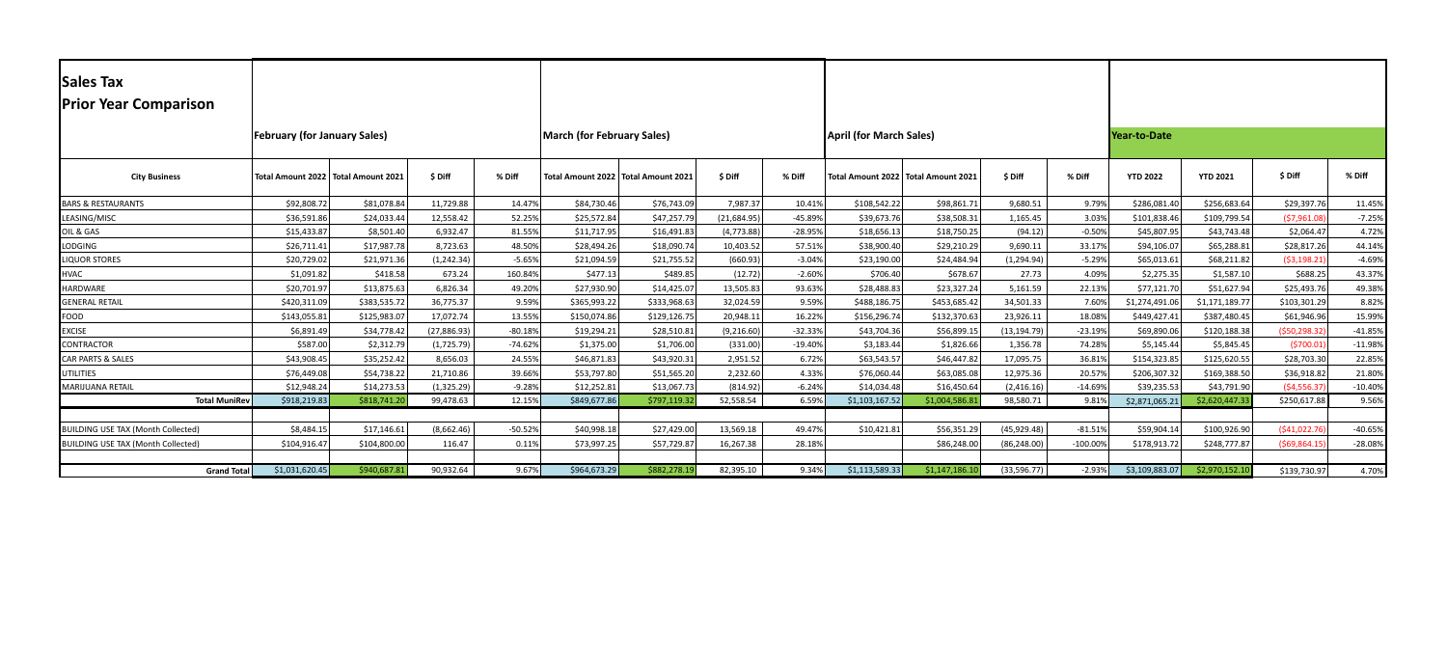| <b>Sales Tax</b><br><b>Prior Year Comparison</b> |                |                                       |              |                                   |                                       |              |              |                                |                |                                       |              |                     |                 |                 |                 |           |
|--------------------------------------------------|----------------|---------------------------------------|--------------|-----------------------------------|---------------------------------------|--------------|--------------|--------------------------------|----------------|---------------------------------------|--------------|---------------------|-----------------|-----------------|-----------------|-----------|
|                                                  |                |                                       |              |                                   |                                       |              |              |                                |                |                                       |              |                     |                 |                 |                 |           |
| <b>February (for January Sales)</b>              |                |                                       |              | <b>March (for February Sales)</b> |                                       |              |              | <b>April (for March Sales)</b> |                |                                       |              | <b>Year-to-Date</b> |                 |                 |                 |           |
| <b>City Business</b>                             |                | Total Amount 2022   Total Amount 2021 | \$Diff       | % Diff                            | Total Amount 2022   Total Amount 2021 |              | \$Diff       | % Diff                         |                | Total Amount 2022   Total Amount 2021 | \$Diff       | % Diff              | <b>YTD 2022</b> | <b>YTD 2021</b> | \$Diff          | % Diff    |
| <b>BARS &amp; RESTAURANTS</b>                    | \$92,808.7     | \$81,078.84                           | 11,729.88    | 14.47%                            | \$84,730.46                           | \$76,743.09  | 7,987.37     | 10.41%                         | \$108,542.22   | \$98,861.71                           | 9,680.51     | 9.79%               | \$286,081.40    | \$256,683.64    | \$29,397.76     | 11.45%    |
| LEASING/MISC                                     | \$36,591.86    | \$24,033.44                           | 12,558.42    | 52.25%                            | \$25,572.84                           | \$47,257.79  | (21, 684.95) | -45.89%                        | \$39,673.76    | \$38,508.31                           | 1,165.45     | 3.03%               | \$101,838.46    | \$109,799.54    | (57,961.08)     | $-7.25%$  |
| OIL & GAS                                        | \$15,433.8     | \$8,501.40                            | 6,932.47     | 81.55%                            | \$11,717.95                           | \$16,491.83  | (4,773.88)   | $-28.95%$                      | \$18,656.13    | \$18,750.25                           | (94.12)      | $-0.50%$            | \$45,807.95     | \$43,743.48     | \$2,064.47      | 4.72%     |
| LODGING                                          | \$26,711.41    | \$17,987.78                           | 8,723.63     | 48.50%                            | \$28,494.26                           | \$18,090.74  | 10,403.52    | 57.51%                         | \$38,900.40    | \$29,210.29                           | 9,690.11     | 33.17%              | \$94,106.07     | \$65,288.81     | \$28,817.26     | 44.149    |
| <b>LIQUOR STORES</b>                             | \$20,729.0     | \$21,971.36                           | (1, 242.34)  | $-5.65%$                          | \$21,094.59                           | \$21,755.52  | (660.93)     | $-3.04%$                       | \$23,190.00    | \$24,484.94                           | (1, 294.94)  | $-5.29%$            | \$65,013.61     | \$68,211.82     | (53, 198.21)    | $-4.69%$  |
| <b>HVAC</b>                                      | \$1,091.82     | \$418.58                              | 673.24       | 160.84%                           | \$477.13                              | \$489.85     | (12.72)      | $-2.60%$                       | \$706.40       | \$678.67                              | 27.73        | 4.09%               | \$2,275.35      | \$1,587.10      | \$688.25        | 43.379    |
| HARDWARE                                         | \$20,701.9     | \$13,875.63                           | 6,826.34     | 49.20%                            | \$27,930.90                           | \$14,425.07  | 13,505.83    | 93.63%                         | \$28,488.83    | \$23,327.24                           | 5,161.59     | 22.13%              | \$77,121.70     | \$51,627.94     | \$25,493.76     | 49.389    |
| <b>GENERAL RETAIL</b>                            | \$420,311.09   | \$383,535.72                          | 36,775.37    | 9.59%                             | \$365,993.22                          | \$333,968.63 | 32,024.59    | 9.59%                          | \$488,186.75   | \$453,685.42                          | 34,501.33    | 7.60%               | \$1,274,491.06  | \$1,171,189.77  | \$103,301.29    | 8.82%     |
| FOOD                                             | \$143,055.8    | \$125,983.07                          | 17,072.74    | 13.55%                            | \$150,074.86                          | \$129,126.75 | 20,948.11    | 16.22%                         | \$156,296.74   | \$132,370.63                          | 23,926.11    | 18.08%              | \$449,427.41    | \$387,480.45    | \$61,946.96     | 15.999    |
| <b>EXCISE</b>                                    | \$6,891.4      | \$34,778.42                           | (27, 886.93) | $-80.18%$                         | \$19,294.21                           | \$28,510.81  | (9,216.60)   | $-32.33%$                      | \$43,704.36    | \$56,899.15                           | (13, 194.79) | $-23.19%$           | \$69,890.06     | \$120,188.38    | (550, 298.32)   | $-41.85%$ |
| <b>CONTRACTOR</b>                                | \$587.0        | \$2,312.79                            | (1,725.79)   | $-74.62%$                         | \$1,375.00                            | \$1,706.00   | (331.00)     | $-19.40%$                      | \$3,183.44     | \$1,826.66                            | 1,356.78     | 74.28%              | \$5,145.44      | \$5,845.45      | (5700.01)       | $-11.98%$ |
| CAR PARTS & SALES                                | \$43,908.45    | \$35,252.42                           | 8,656.03     | 24.55%                            | \$46,871.83                           | \$43,920.31  | 2,951.52     | 6.72%                          | \$63,543.57    | \$46,447.82                           | 17,095.75    | 36.81%              | \$154,323.85    | \$125,620.55    | \$28,703.30     | 22.85%    |
| <b>UTILITIES</b>                                 | \$76,449.0     | \$54,738.22                           | 21,710.86    | 39.66%                            | \$53,797.80                           | \$51,565.20  | 2,232.60     | 4.33%                          | \$76,060.44    | \$63,085.08                           | 12,975.36    | 20.57%              | \$206,307.32    | \$169,388.50    | \$36,918.82     | 21.80%    |
| MARIJUANA RETAIL                                 | \$12,948.24    | \$14,273.53                           | (1,325.29)   | $-9.28%$                          | \$12,252.81                           | \$13,067.73  | (814.92)     | $-6.24%$                       | \$14,034.48    | \$16,450.64                           | (2,416.16)   | $-14.69%$           | \$39,235.53     | \$43,791.90     | (54, 556.37)    | $-10.40%$ |
| <b>Total MuniRev</b>                             | \$918,219.83   | \$818,741.20                          | 99,478.63    | 12.15%                            | \$849,677.86                          | \$797,119.32 | 52,558.54    | 6.59%                          | \$1,103,167.52 | \$1,004,586.81                        | 98,580.71    | 9.81%               | \$2,871,065.21  | \$2,620,447.33  | \$250,617.88    | 9.56%     |
|                                                  |                |                                       |              |                                   |                                       |              |              |                                |                |                                       |              |                     |                 |                 |                 |           |
| <b>BUILDING USE TAX (Month Collected)</b>        | \$8,484.1      | \$17,146.61                           | (8,662.46)   | $-50.52%$                         | \$40,998.18                           | \$27,429.00  | 13,569.18    | 49.47%                         | \$10,421.81    | \$56,351.29                           | (45,929.48)  | $-81.51%$           | \$59,904.1      | \$100,926.90    | (541,022.76)    | $-40.65%$ |
| <b>BUILDING USE TAX (Month Collected)</b>        | \$104,916.4    | \$104,800.00                          | 116.47       | 0.11%                             | \$73,997.25                           | \$57,729.87  | 16,267.38    | 28.18%                         |                | \$86,248.00                           | (86, 248.00) | $-100.00%$          | \$178,913.72    | \$248,777.87    | $($ \$69,864.15 | $-28.08%$ |
| <b>Grand Total</b>                               | \$1,031,620.45 | \$940,687.81                          | 90,932.64    | 9.67%                             | \$964,673.29                          | \$882,278.19 | 82,395.10    | 9.34%                          | \$1,113,589.33 | \$1,147,186.10                        | (33,596.77)  | $-2.93%$            | \$3,109,883.07  | \$2,970,152.10  | \$139,730.97    | 4.70%     |